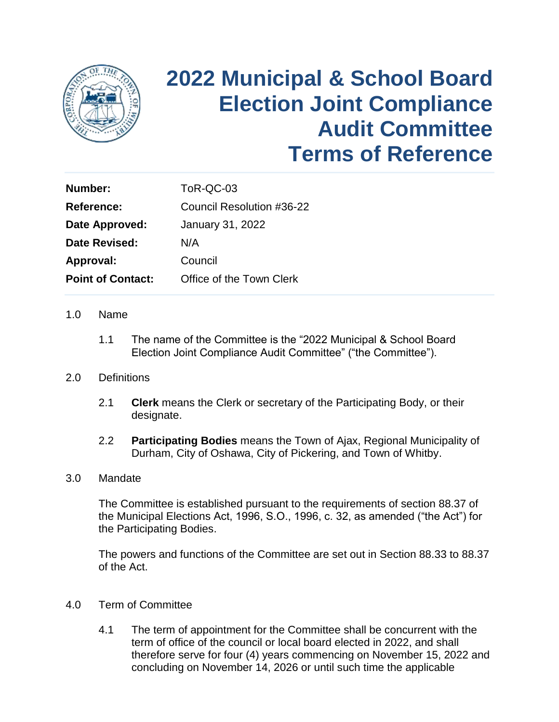

# **2022 Municipal & School Board Election Joint Compliance Audit Committee Terms of Reference**

| Number:                  | ToR-QC-03                 |
|--------------------------|---------------------------|
| <b>Reference:</b>        | Council Resolution #36-22 |
| Date Approved:           | January 31, 2022          |
| Date Revised:            | N/A                       |
| Approval:                | Council                   |
| <b>Point of Contact:</b> | Office of the Town Clerk  |

#### 1.0 Name

1.1 The name of the Committee is the "2022 Municipal & School Board Election Joint Compliance Audit Committee" ("the Committee").

#### 2.0 Definitions

- 2.1 **Clerk** means the Clerk or secretary of the Participating Body, or their designate.
- Durham, City of Oshawa, City of Pickering, and Town of Whitby. 2.2 **Participating Bodies** means the Town of Ajax, Regional Municipality of

#### 3.0 Mandate

The Committee is established pursuant to the requirements of section 88.37 of the Municipal Elections Act, 1996, S.O., 1996, c. 32, as amended ("the Act") for the Participating Bodies.

 The powers and functions of the Committee are set out in Section 88.33 to 88.37 of the Act.

### 4.0 Term of Committee

4.1 The term of appointment for the Committee shall be concurrent with the term of office of the council or local board elected in 2022, and shall therefore serve for four (4) years commencing on November 15, 2022 and concluding on November 14, 2026 or until such time the applicable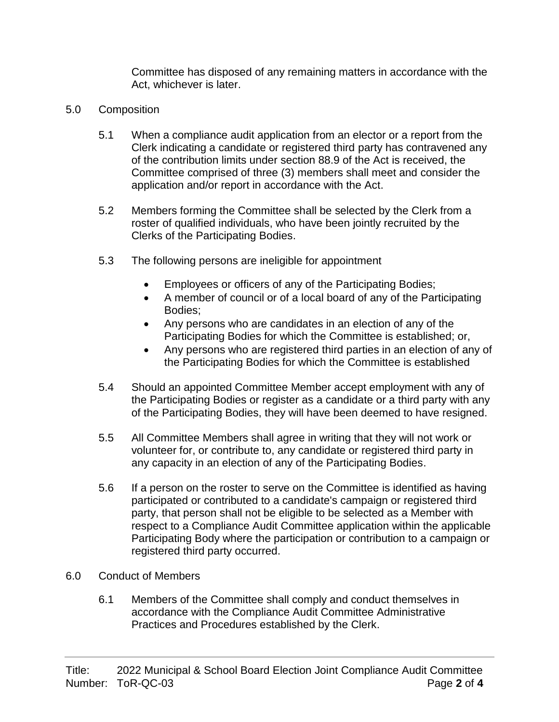Committee has disposed of any remaining matters in accordance with the Act, whichever is later.

- 5.0 Composition
	- 5.1 When a compliance audit application from an elector or a report from the Clerk indicating a candidate or registered third party has contravened any of the contribution limits under section 88.9 of the Act is received, the Committee comprised of three (3) members shall meet and consider the application and/or report in accordance with the Act.
	- 5.2 Members forming the Committee shall be selected by the Clerk from a roster of qualified individuals, who have been jointly recruited by the Clerks of the Participating Bodies.
	- 5.3 The following persons are ineligible for appointment
		- Employees or officers of any of the Participating Bodies;
		- A member of council or of a local board of any of the Participating Bodies;
		- Any persons who are candidates in an election of any of the Participating Bodies for which the Committee is established; or,
		- Any persons who are registered third parties in an election of any of the Participating Bodies for which the Committee is established
	- the Participating Bodies or register as a candidate or a third party with any 5.4 Should an appointed Committee Member accept employment with any of of the Participating Bodies, they will have been deemed to have resigned.
	- volunteer for, or contribute to, any candidate or registered third party in 5.5 All Committee Members shall agree in writing that they will not work or any capacity in an election of any of the Participating Bodies.
	- 5.6 If a person on the roster to serve on the Committee is identified as having participated or contributed to a candidate's campaign or registered third party, that person shall not be eligible to be selected as a Member with respect to a Compliance Audit Committee application within the applicable Participating Body where the participation or contribution to a campaign or registered third party occurred.
- 6.0 Conduct of Members
	- 6.1 Members of the Committee shall comply and conduct themselves in accordance with the Compliance Audit Committee Administrative Practices and Procedures established by the Clerk.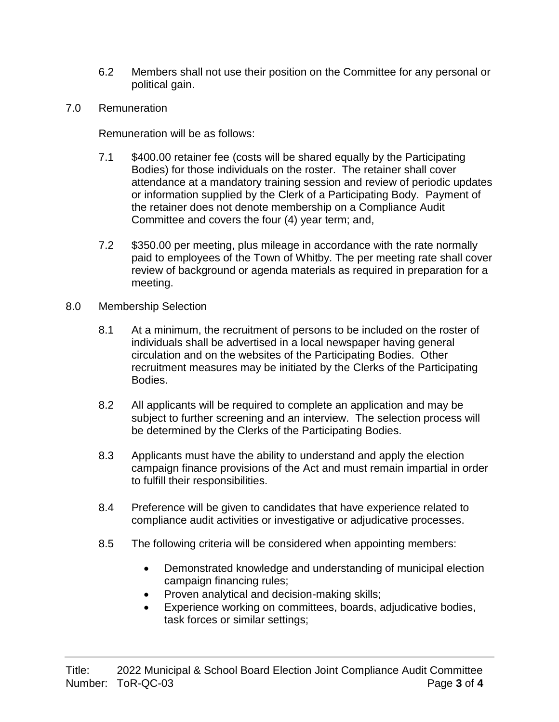- 6.2 Members shall not use their position on the Committee for any personal or political gain.
- 7.0 Remuneration

Remuneration will be as follows:

- 7.1 \$400.00 retainer fee (costs will be shared equally by the Participating Bodies) for those individuals on the roster. The retainer shall cover attendance at a mandatory training session and review of periodic updates or information supplied by the Clerk of a Participating Body. Payment of the retainer does not denote membership on a Compliance Audit Committee and covers the four (4) year term; and,
- paid to employees of the Town of Whitby. The per meeting rate shall cover review of background or agenda materials as required in preparation for a 7.2 \$350.00 per meeting, plus mileage in accordance with the rate normally meeting.
- 8.0 Membership Selection
	- circulation and on the websites of the Participating Bodies. Other 8.1 At a minimum, the recruitment of persons to be included on the roster of individuals shall be advertised in a local newspaper having general recruitment measures may be initiated by the Clerks of the Participating Bodies.
	- 8.2 All applicants will be required to complete an application and may be subject to further screening and an interview. The selection process will be determined by the Clerks of the Participating Bodies.
	- 8.3 Applicants must have the ability to understand and apply the election campaign finance provisions of the Act and must remain impartial in order to fulfill their responsibilities.
	- 8.4 Preference will be given to candidates that have experience related to compliance audit activities or investigative or adjudicative processes.
	- 8.5 The following criteria will be considered when appointing members:
		- Demonstrated knowledge and understanding of municipal election campaign financing rules;
		- Proven analytical and decision-making skills;
		- Experience working on committees, boards, adjudicative bodies, task forces or similar settings;